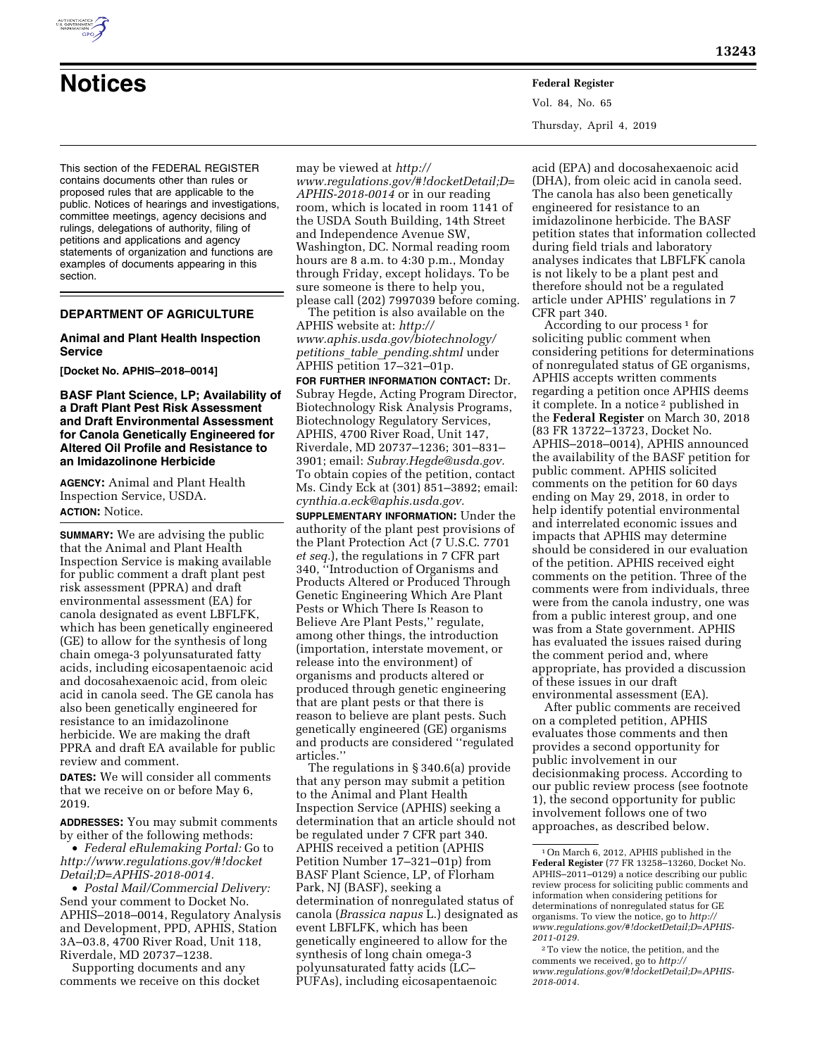

# **Notices Federal Register**

This section of the FEDERAL REGISTER contains documents other than rules or proposed rules that are applicable to the public. Notices of hearings and investigations, committee meetings, agency decisions and rulings, delegations of authority, filing of petitions and applications and agency statements of organization and functions are examples of documents appearing in this section.

# **DEPARTMENT OF AGRICULTURE**

## **Animal and Plant Health Inspection Service**

**[Docket No. APHIS–2018–0014]** 

**BASF Plant Science, LP; Availability of a Draft Plant Pest Risk Assessment and Draft Environmental Assessment for Canola Genetically Engineered for Altered Oil Profile and Resistance to an Imidazolinone Herbicide** 

**AGENCY:** Animal and Plant Health Inspection Service, USDA. **ACTION:** Notice.

**SUMMARY:** We are advising the public that the Animal and Plant Health Inspection Service is making available for public comment a draft plant pest risk assessment (PPRA) and draft environmental assessment (EA) for canola designated as event LBFLFK, which has been genetically engineered (GE) to allow for the synthesis of long chain omega-3 polyunsaturated fatty acids, including eicosapentaenoic acid and docosahexaenoic acid, from oleic acid in canola seed. The GE canola has also been genetically engineered for resistance to an imidazolinone herbicide. We are making the draft PPRA and draft EA available for public review and comment.

**DATES:** We will consider all comments that we receive on or before May 6, 2019.

**ADDRESSES:** You may submit comments by either of the following methods:

• *Federal eRulemaking Portal:* Go to *[http://www.regulations.gov/#!docket](http://www.regulations.gov/#!docketDetail;D=APHIS-2018-0014) [Detail;D=APHIS-2018-0014.](http://www.regulations.gov/#!docketDetail;D=APHIS-2018-0014)* 

• *Postal Mail/Commercial Delivery:*  Send your comment to Docket No. APHIS–2018–0014, Regulatory Analysis and Development, PPD, APHIS, Station 3A–03.8, 4700 River Road, Unit 118, Riverdale, MD 20737–1238.

Supporting documents and any comments we receive on this docket

may be viewed at *[http://](http://www.regulations.gov/#!docketDetail;D=APHIS-2018-0014) [www.regulations.gov/#!docketDetail;D=](http://www.regulations.gov/#!docketDetail;D=APHIS-2018-0014) [APHIS-2018-0014](http://www.regulations.gov/#!docketDetail;D=APHIS-2018-0014)* or in our reading room, which is located in room 1141 of the USDA South Building, 14th Street and Independence Avenue SW, Washington, DC. Normal reading room hours are 8 a.m. to 4:30 p.m., Monday through Friday, except holidays. To be sure someone is there to help you, please call (202) 7997039 before coming.

The petition is also available on the APHIS website at: *[http://](http://www.aphis.usda.gov/biotechnology/petitions_table_pending.shtml) [www.aphis.usda.gov/biotechnology/](http://www.aphis.usda.gov/biotechnology/petitions_table_pending.shtml)  petitions*\_*table*\_*[pending.shtml](http://www.aphis.usda.gov/biotechnology/petitions_table_pending.shtml)* under APHIS petition 17–321–01p.

**FOR FURTHER INFORMATION CONTACT:** Dr. Subray Hegde, Acting Program Director, Biotechnology Risk Analysis Programs, Biotechnology Regulatory Services, APHIS, 4700 River Road, Unit 147, Riverdale, MD 20737–1236; 301–831– 3901; email: *[Subray.Hegde@usda.gov.](mailto:Subray.Hegde@usda.gov)*  To obtain copies of the petition, contact Ms. Cindy Eck at (301) 851–3892; email: *[cynthia.a.eck@aphis.usda.gov.](mailto:cynthia.a.eck@aphis.usda.gov)* 

**SUPPLEMENTARY INFORMATION:** Under the authority of the plant pest provisions of the Plant Protection Act (7 U.S.C. 7701 *et seq.*), the regulations in 7 CFR part 340, ''Introduction of Organisms and Products Altered or Produced Through Genetic Engineering Which Are Plant Pests or Which There Is Reason to Believe Are Plant Pests,'' regulate, among other things, the introduction (importation, interstate movement, or release into the environment) of organisms and products altered or produced through genetic engineering that are plant pests or that there is reason to believe are plant pests. Such genetically engineered (GE) organisms and products are considered ''regulated articles.''

The regulations in § 340.6(a) provide that any person may submit a petition to the Animal and Plant Health Inspection Service (APHIS) seeking a determination that an article should not be regulated under 7 CFR part 340. APHIS received a petition (APHIS Petition Number 17–321–01p) from BASF Plant Science, LP, of Florham Park, NJ (BASF), seeking a determination of nonregulated status of canola (*Brassica napus* L.) designated as event LBFLFK, which has been genetically engineered to allow for the synthesis of long chain omega-3 polyunsaturated fatty acids (LC– PUFAs), including eicosapentaenoic

Vol. 84, No. 65 Thursday, April 4, 2019

acid (EPA) and docosahexaenoic acid (DHA), from oleic acid in canola seed. The canola has also been genetically engineered for resistance to an imidazolinone herbicide. The BASF petition states that information collected during field trials and laboratory analyses indicates that LBFLFK canola is not likely to be a plant pest and therefore should not be a regulated article under APHIS' regulations in 7 CFR part 340.

According to our process<sup>1</sup> for soliciting public comment when considering petitions for determinations of nonregulated status of GE organisms, APHIS accepts written comments regarding a petition once APHIS deems it complete. In a notice 2 published in the **Federal Register** on March 30, 2018 (83 FR 13722–13723, Docket No. APHIS–2018–0014), APHIS announced the availability of the BASF petition for public comment. APHIS solicited comments on the petition for 60 days ending on May 29, 2018, in order to help identify potential environmental and interrelated economic issues and impacts that APHIS may determine should be considered in our evaluation of the petition. APHIS received eight comments on the petition. Three of the comments were from individuals, three were from the canola industry, one was from a public interest group, and one was from a State government. APHIS has evaluated the issues raised during the comment period and, where appropriate, has provided a discussion of these issues in our draft environmental assessment (EA).

After public comments are received on a completed petition, APHIS evaluates those comments and then provides a second opportunity for public involvement in our decisionmaking process. According to our public review process (see footnote 1), the second opportunity for public involvement follows one of two approaches, as described below.

<sup>1</sup>On March 6, 2012, APHIS published in the **Federal Register** (77 FR 13258–13260, Docket No. APHIS–2011–0129) a notice describing our public review process for soliciting public comments and information when considering petitions for determinations of nonregulated status for GE organisms. To view the notice, go to *[http://](http://www.regulations.gov/#!docketDetail;D=APHIS-2011-0129) [www.regulations.gov/#!docketDetail;D=APHIS-](http://www.regulations.gov/#!docketDetail;D=APHIS-2011-0129)[2011-0129.](http://www.regulations.gov/#!docketDetail;D=APHIS-2011-0129)* 

<sup>2</sup>To view the notice, the petition, and the comments we received, go to *[http://](http://www.regulations.gov/#!docketDetail;D=APHIS-2018-0014) [www.regulations.gov/#!docketDetail;D=APHIS-](http://www.regulations.gov/#!docketDetail;D=APHIS-2018-0014)[2018-0014.](http://www.regulations.gov/#!docketDetail;D=APHIS-2018-0014)*